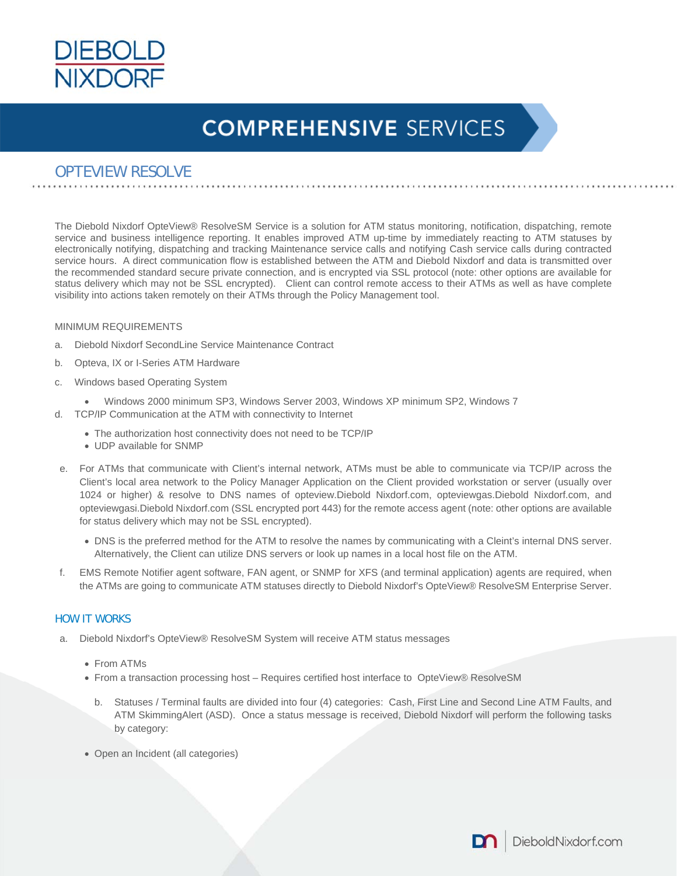

### OPTEVIEW RESOLVE

The Diebold Nixdorf OpteView® ResolveSM Service is a solution for ATM status monitoring, notification, dispatching, remote service and business intelligence reporting. It enables improved ATM up-time by immediately reacting to ATM statuses by electronically notifying, dispatching and tracking Maintenance service calls and notifying Cash service calls during contracted service hours. A direct communication flow is established between the ATM and Diebold Nixdorf and data is transmitted over the recommended standard secure private connection, and is encrypted via SSL protocol (note: other options are available for status delivery which may not be SSL encrypted). Client can control remote access to their ATMs as well as have complete visibility into actions taken remotely on their ATMs through the Policy Management tool.

#### MINIMUM REQUIREMENTS

- a. Diebold Nixdorf SecondLine Service Maintenance Contract
- b. Opteva, IX or I-Series ATM Hardware
- c. Windows based Operating System
	- Windows 2000 minimum SP3, Windows Server 2003, Windows XP minimum SP2, Windows 7
- d. TCP/IP Communication at the ATM with connectivity to Internet
	- The authorization host connectivity does not need to be TCP/IP
	- UDP available for SNMP
- e. For ATMs that communicate with Client's internal network, ATMs must be able to communicate via TCP/IP across the Client's local area network to the Policy Manager Application on the Client provided workstation or server (usually over 1024 or higher) & resolve to DNS names of opteview.Diebold Nixdorf.com, opteviewgas.Diebold Nixdorf.com, and opteviewgasi.Diebold Nixdorf.com (SSL encrypted port 443) for the remote access agent (note: other options are available for status delivery which may not be SSL encrypted).
	- DNS is the preferred method for the ATM to resolve the names by communicating with a Cleint's internal DNS server. Alternatively, the Client can utilize DNS servers or look up names in a local host file on the ATM.
- f. EMS Remote Notifier agent software, FAN agent, or SNMP for XFS (and terminal application) agents are required, when the ATMs are going to communicate ATM statuses directly to Diebold Nixdorf's OpteView® ResolveSM Enterprise Server.

### HOW IT WORKS

- Diebold Nixdorf's OpteView® ResolveSM System will receive ATM status messages
	- From ATMs
	- From a transaction processing host Requires certified host interface to OpteView® ResolveSM
		- b. Statuses / Terminal faults are divided into four (4) categories: Cash, First Line and Second Line ATM Faults, and ATM SkimmingAlert (ASD). Once a status message is received, Diebold Nixdorf will perform the following tasks by category:
	- Open an Incident (all categories)

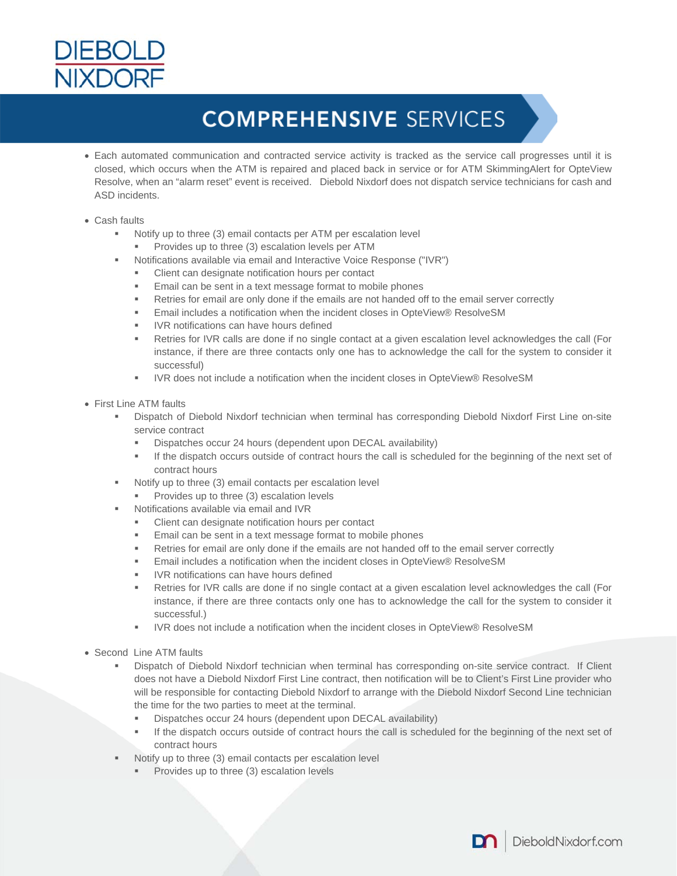

- Each automated communication and contracted service activity is tracked as the service call progresses until it is closed, which occurs when the ATM is repaired and placed back in service or for ATM SkimmingAlert for OpteView Resolve, when an "alarm reset" event is received. Diebold Nixdorf does not dispatch service technicians for cash and ASD incidents.
- Cash faults
	- Notify up to three (3) email contacts per ATM per escalation level
		- Provides up to three (3) escalation levels per ATM
	- Notifications available via email and Interactive Voice Response ("IVR")
		- Client can designate notification hours per contact
		- Email can be sent in a text message format to mobile phones
		- Retries for email are only done if the emails are not handed off to the email server correctly
		- Email includes a notification when the incident closes in OpteView® ResolveSM
		- IVR notifications can have hours defined
		- Retries for IVR calls are done if no single contact at a given escalation level acknowledges the call (For instance, if there are three contacts only one has to acknowledge the call for the system to consider it successful)
		- IVR does not include a notification when the incident closes in OpteView® ResolveSM
- First Line ATM faults
	- Dispatch of Diebold Nixdorf technician when terminal has corresponding Diebold Nixdorf First Line on-site service contract
		- Dispatches occur 24 hours (dependent upon DECAL availability)
		- If the dispatch occurs outside of contract hours the call is scheduled for the beginning of the next set of contract hours
	- Notify up to three (3) email contacts per escalation level
		- Provides up to three (3) escalation levels
	- Notifications available via email and IVR
		- Client can designate notification hours per contact
		- Email can be sent in a text message format to mobile phones
		- Retries for email are only done if the emails are not handed off to the email server correctly
		- Email includes a notification when the incident closes in OpteView® ResolveSM
		- IVR notifications can have hours defined
		- Retries for IVR calls are done if no single contact at a given escalation level acknowledges the call (For instance, if there are three contacts only one has to acknowledge the call for the system to consider it successful.)
		- IVR does not include a notification when the incident closes in OpteView® ResolveSM
- Second Line ATM faults
	- Dispatch of Diebold Nixdorf technician when terminal has corresponding on-site service contract. If Client does not have a Diebold Nixdorf First Line contract, then notification will be to Client's First Line provider who will be responsible for contacting Diebold Nixdorf to arrange with the Diebold Nixdorf Second Line technician the time for the two parties to meet at the terminal.
		- Dispatches occur 24 hours (dependent upon DECAL availability)
		- If the dispatch occurs outside of contract hours the call is scheduled for the beginning of the next set of contract hours
	- Notify up to three (3) email contacts per escalation level
		- Provides up to three (3) escalation levels

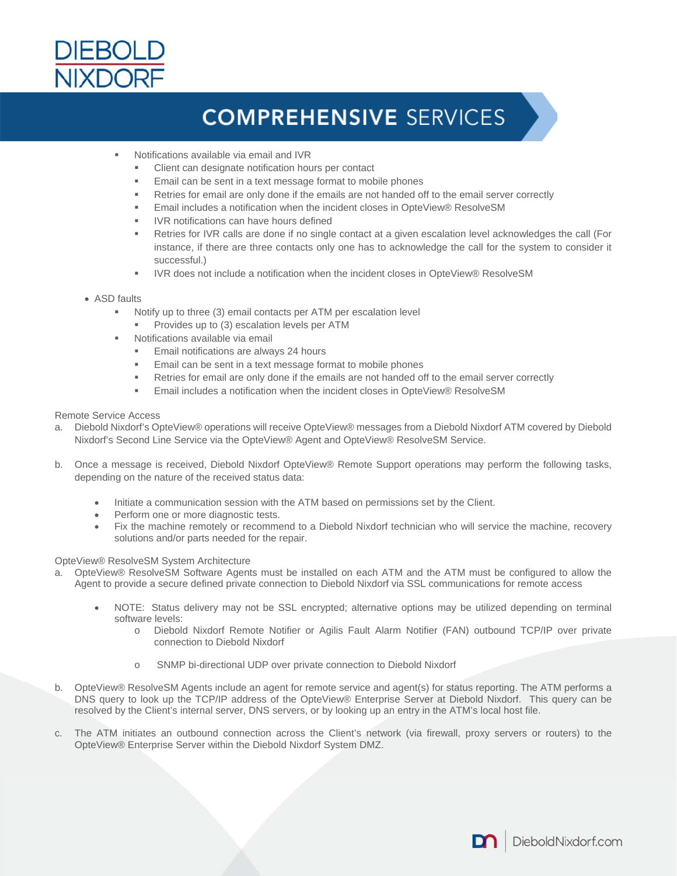

- Notifications available via email and IVR
	- Client can designate notification hours per contact
	- Email can be sent in a text message format to mobile phones
	- Retries for email are only done if the emails are not handed off to the email server correctly
	- Email includes a notification when the incident closes in OpteView® ResolveSM
	- IVR notifications can have hours defined
	- Retries for IVR calls are done if no single contact at a given escalation level acknowledges the call (For instance, if there are three contacts only one has to acknowledge the call for the system to consider it successful.)
	- IVR does not include a notification when the incident closes in OpteView® ResolveSM
- ASD faults
	- Notify up to three (3) email contacts per ATM per escalation level
		- Provides up to (3) escalation levels per ATM
	- Notifications available via email
		- Email notifications are always 24 hours
		- Email can be sent in a text message format to mobile phones
		- Retries for email are only done if the emails are not handed off to the email server correctly
		- Email includes a notification when the incident closes in OpteView® ResolveSM

#### Remote Service Access

- a. Diebold Nixdorf's OpteView® operations will receive OpteView® messages from a Diebold Nixdorf ATM covered by Diebold Nixdorf's Second Line Service via the OpteView® Agent and OpteView® ResolveSM Service.
- b. Once a message is received, Diebold Nixdorf OpteView® Remote Support operations may perform the following tasks, depending on the nature of the received status data:
	- Initiate a communication session with the ATM based on permissions set by the Client.
	- Perform one or more diagnostic tests.
	- Fix the machine remotely or recommend to a Diebold Nixdorf technician who will service the machine, recovery solutions and/or parts needed for the repair.

#### OpteView® ResolveSM System Architecture

- a. OpteView® ResolveSM Software Agents must be installed on each ATM and the ATM must be configured to allow the Agent to provide a secure defined private connection to Diebold Nixdorf via SSL communications for remote access
	- NOTE: Status delivery may not be SSL encrypted; alternative options may be utilized depending on terminal software levels:
		- o Diebold Nixdorf Remote Notifier or Agilis Fault Alarm Notifier (FAN) outbound TCP/IP over private connection to Diebold Nixdorf
		- o SNMP bi-directional UDP over private connection to Diebold Nixdorf
- b. OpteView® ResolveSM Agents include an agent for remote service and agent(s) for status reporting. The ATM performs a DNS query to look up the TCP/IP address of the OpteView® Enterprise Server at Diebold Nixdorf. This query can be resolved by the Client's internal server, DNS servers, or by looking up an entry in the ATM's local host file.
- c. The ATM initiates an outbound connection across the Client's network (via firewall, proxy servers or routers) to the OpteView® Enterprise Server within the Diebold Nixdorf System DMZ.

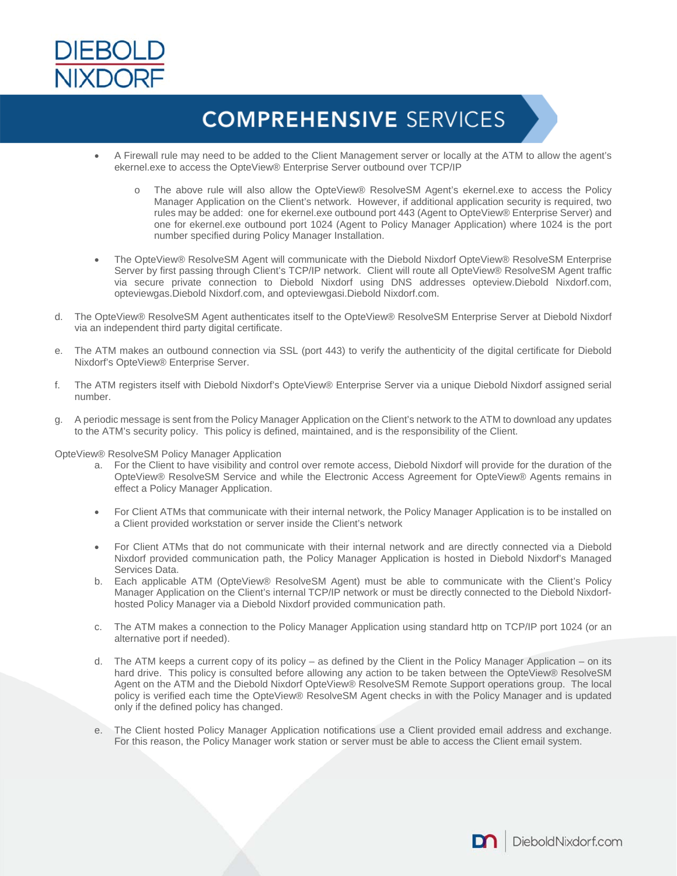

- A Firewall rule may need to be added to the Client Management server or locally at the ATM to allow the agent's ekernel.exe to access the OpteView® Enterprise Server outbound over TCP/IP
	- o The above rule will also allow the OpteView® ResolveSM Agent's ekernel.exe to access the Policy Manager Application on the Client's network. However, if additional application security is required, two rules may be added: one for ekernel.exe outbound port 443 (Agent to OpteView® Enterprise Server) and one for ekernel.exe outbound port 1024 (Agent to Policy Manager Application) where 1024 is the port number specified during Policy Manager Installation.
- The OpteView® ResolveSM Agent will communicate with the Diebold Nixdorf OpteView® ResolveSM Enterprise Server by first passing through Client's TCP/IP network. Client will route all OpteView® ResolveSM Agent traffic via secure private connection to Diebold Nixdorf using DNS addresses opteview.Diebold Nixdorf.com, opteviewgas.Diebold Nixdorf.com, and opteviewgasi.Diebold Nixdorf.com.
- d. The OpteView® ResolveSM Agent authenticates itself to the OpteView® ResolveSM Enterprise Server at Diebold Nixdorf via an independent third party digital certificate.
- e. The ATM makes an outbound connection via SSL (port 443) to verify the authenticity of the digital certificate for Diebold Nixdorf's OpteView® Enterprise Server.
- f. The ATM registers itself with Diebold Nixdorf's OpteView® Enterprise Server via a unique Diebold Nixdorf assigned serial number.
- g. A periodic message is sent from the Policy Manager Application on the Client's network to the ATM to download any updates to the ATM's security policy. This policy is defined, maintained, and is the responsibility of the Client.

OpteView® ResolveSM Policy Manager Application

- a. For the Client to have visibility and control over remote access, Diebold Nixdorf will provide for the duration of the OpteView® ResolveSM Service and while the Electronic Access Agreement for OpteView® Agents remains in effect a Policy Manager Application.
- For Client ATMs that communicate with their internal network, the Policy Manager Application is to be installed on a Client provided workstation or server inside the Client's network
- For Client ATMs that do not communicate with their internal network and are directly connected via a Diebold Nixdorf provided communication path, the Policy Manager Application is hosted in Diebold Nixdorf's Managed Services Data.
- b. Each applicable ATM (OpteView® ResolveSM Agent) must be able to communicate with the Client's Policy Manager Application on the Client's internal TCP/IP network or must be directly connected to the Diebold Nixdorfhosted Policy Manager via a Diebold Nixdorf provided communication path.
- c. The ATM makes a connection to the Policy Manager Application using standard http on TCP/IP port 1024 (or an alternative port if needed).
- d. The ATM keeps a current copy of its policy as defined by the Client in the Policy Manager Application on its hard drive. This policy is consulted before allowing any action to be taken between the OpteView® ResolveSM Agent on the ATM and the Diebold Nixdorf OpteView® ResolveSM Remote Support operations group. The local policy is verified each time the OpteView® ResolveSM Agent checks in with the Policy Manager and is updated only if the defined policy has changed.
- e. The Client hosted Policy Manager Application notifications use a Client provided email address and exchange. For this reason, the Policy Manager work station or server must be able to access the Client email system.

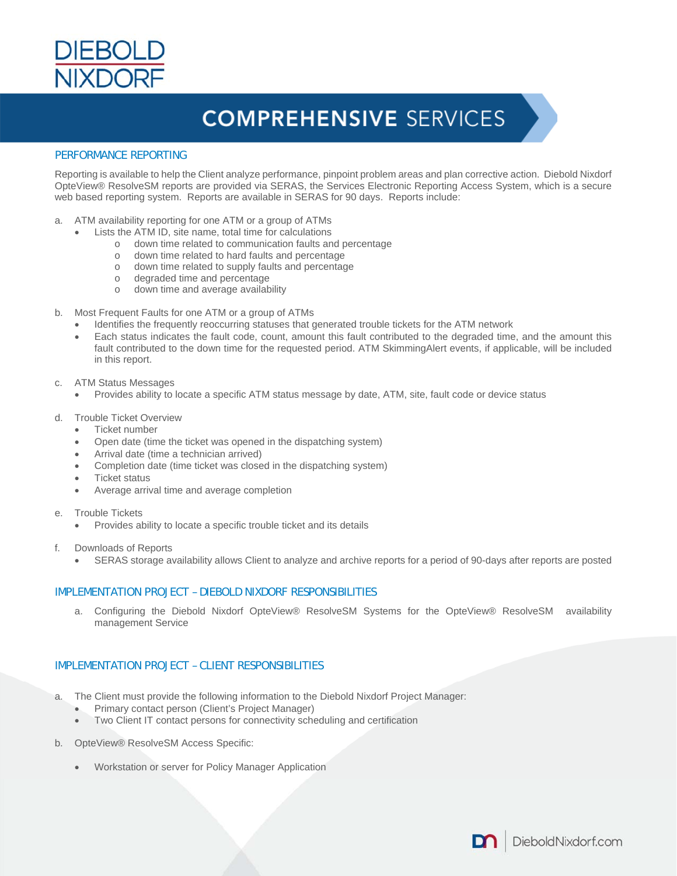

### PERFORMANCE REPORTING

Reporting is available to help the Client analyze performance, pinpoint problem areas and plan corrective action. Diebold Nixdorf OpteView® ResolveSM reports are provided via SERAS, the Services Electronic Reporting Access System, which is a secure web based reporting system. Reports are available in SERAS for 90 days. Reports include:

- a. ATM availability reporting for one ATM or a group of ATMs
	- Lists the ATM ID, site name, total time for calculations
		- o down time related to communication faults and percentage
		- o down time related to hard faults and percentage
		- o down time related to supply faults and percentage
		- o degraded time and percentage
		- o down time and average availability
- b. Most Frequent Faults for one ATM or a group of ATMs
	- Identifies the frequently reoccurring statuses that generated trouble tickets for the ATM network
	- Each status indicates the fault code, count, amount this fault contributed to the degraded time, and the amount this fault contributed to the down time for the requested period. ATM SkimmingAlert events, if applicable, will be included in this report.
- c. ATM Status Messages
	- Provides ability to locate a specific ATM status message by date, ATM, site, fault code or device status
- d. Trouble Ticket Overview
	- Ticket number
	- Open date (time the ticket was opened in the dispatching system)
	- Arrival date (time a technician arrived)
	- Completion date (time ticket was closed in the dispatching system)
	- Ticket status
	- Average arrival time and average completion
- e. Trouble Tickets
	- Provides ability to locate a specific trouble ticket and its details
- f. Downloads of Reports
	- SERAS storage availability allows Client to analyze and archive reports for a period of 90-days after reports are posted

### IMPLEMENTATION PROJECT – DIEBOLD NIXDORF RESPONSIBILITIES

a. Configuring the Diebold Nixdorf OpteView® ResolveSM Systems for the OpteView® ResolveSM availability management Service

### IMPLEMENTATION PROJECT – CLIENT RESPONSIBILITIES

- a. The Client must provide the following information to the Diebold Nixdorf Project Manager:
	- Primary contact person (Client's Project Manager)
	- Two Client IT contact persons for connectivity scheduling and certification
- b. OpteView® ResolveSM Access Specific:
	- Workstation or server for Policy Manager Application